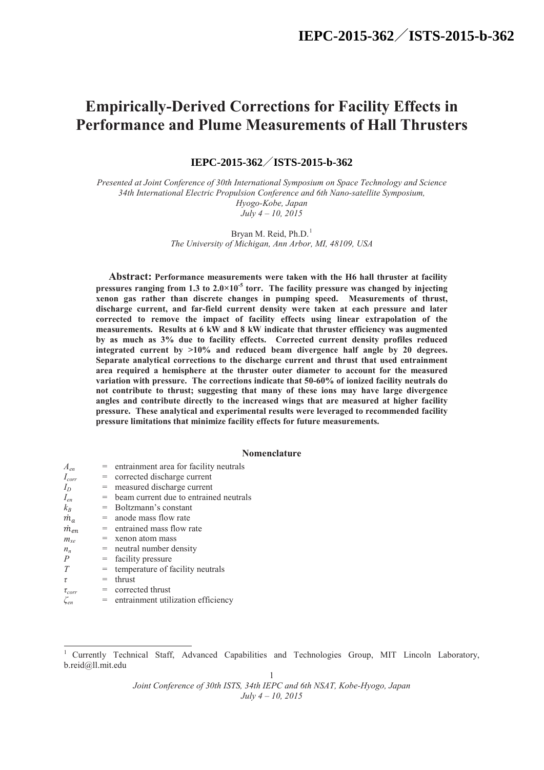# **Empirically-Derived Corrections for Facility Effects in Performance and Plume Measurements of Hall Thrusters**

**IEPC-2015-362 /ISTS-2015-b-362 IEPC-2015-362**/**ISTS-2015-b-362**

*Presented at Joint Conference of 30th International Symposium on Space Technology and Science 34th International Electric Propulsion Conference and 6th Nano-satellite Symposium, Hyogo-Kobe, Japan July 4 – 10, 2015*

> Bryan M. Reid, Ph.D.<sup>1</sup> *The University of Michigan, Ann Arbor, MI, 48109, USA*

**Abstract: Performance measurements were taken with the H6 hall thruster at facility**  pressures ranging from 1.3 to  $2.0 \times 10^{-5}$  torr. The facility pressure was changed by injecting **xenon gas rather than discrete changes in pumping speed. Measurements of thrust, discharge current, and far-field current density were taken at each pressure and later corrected to remove the impact of facility effects using linear extrapolation of the measurements. Results at 6 kW and 8 kW indicate that thruster efficiency was augmented by as much as 3% due to facility effects. Corrected current density profiles reduced integrated current by >10% and reduced beam divergence half angle by 20 degrees. Separate analytical corrections to the discharge current and thrust that used entrainment area required a hemisphere at the thruster outer diameter to account for the measured variation with pressure. The corrections indicate that 50-60% of ionized facility neutrals do not contribute to thrust; suggesting that many of these ions may have large divergence angles and contribute directly to the increased wings that are measured at higher facility pressure. These analytical and experimental results were leveraged to recommended facility pressure limitations that minimize facility effects for future measurements.**

## **Nomenclature**

| $A_{en}$                             |     | = entrainment area for facility neutrals   |
|--------------------------------------|-----|--------------------------------------------|
| $I_{corr}$                           |     | corrected discharge current                |
| $I_D$                                | $=$ | measured discharge current                 |
| $I_{en}$                             |     | $=$ beam current due to entrained neutrals |
| $k_B$                                |     | $=$ Boltzmann's constant                   |
| $\dot{m}_a$                          |     | $=$ anode mass flow rate                   |
| $\dot{m}_{en}$                       |     | $=$ entrained mass flow rate               |
| $m_{r\rho}$                          |     | $=$ xenon atom mass                        |
| $n_{n}$                              |     | $=$ neutral number density                 |
| $\overline{P}$                       | $=$ | facility pressure                          |
| T                                    |     | temperature of facility neutrals           |
| $\tau$                               | $=$ | thrust                                     |
| $\tau_{corr}$                        |     | $=$ corrected thrust                       |
| $\zeta_{\scriptscriptstyle{\rho n}}$ |     | = entrainment utilization efficiency       |

<sup>1</sup> Currently Technical Staff, Advanced Capabilities and Technologies Group, MIT Lincoln Laboratory, b.reid@ll.mit.edu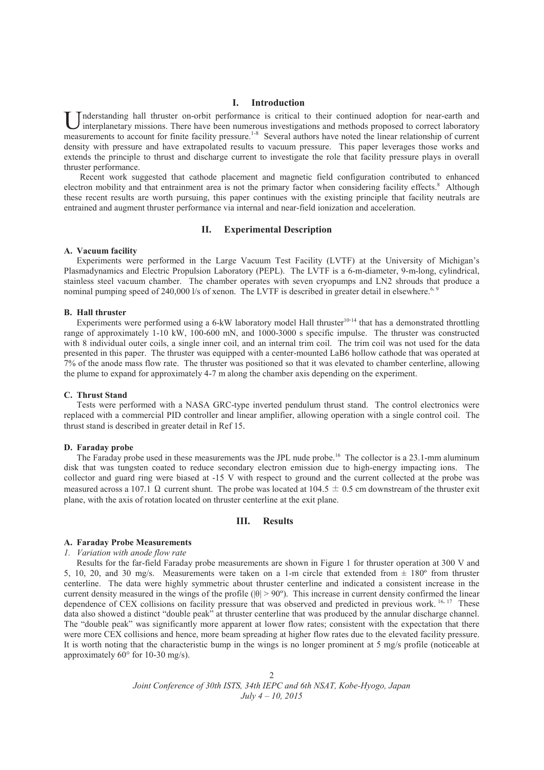## **I. Introduction**

nderstanding hall thruster on-orbit performance is critical to their continued adoption for near-earth and I interplanetary missions. There have been numerous investigations and methods proposed to correct laboratory **U** Inderstanding hall thruster on-orbit performance is critical to their continued adoption for near-earth and interplanetary missions. There have been numerous investigations and methods proposed to correct laboratory me density with pressure and have extrapolated results to vacuum pressure. This paper leverages those works and extends the principle to thrust and discharge current to investigate the role that facility pressure plays in overall thruster performance.

Recent work suggested that cathode placement and magnetic field configuration contributed to enhanced electron mobility and that entrainment area is not the primary factor when considering facility effects.<sup>8</sup> Although these recent results are worth pursuing, this paper continues with the existing principle that facility neutrals are entrained and augment thruster performance via internal and near-field ionization and acceleration.

# **II. Experimental Description**

## **A. Vacuum facility**

Experiments were performed in the Large Vacuum Test Facility (LVTF) at the University of Michigan's Plasmadynamics and Electric Propulsion Laboratory (PEPL). The LVTF is a 6-m-diameter, 9-m-long, cylindrical, stainless steel vacuum chamber. The chamber operates with seven cryopumps and LN2 shrouds that produce a nominal pumping speed of 240,000 l/s of xenon. The LVTF is described in greater detail in elsewhere.<sup>6, 9</sup>

#### **B. Hall thruster**

Experiments were performed using a 6-kW laboratory model Hall thruster<sup>10-14</sup> that has a demonstrated throttling range of approximately 1-10 kW, 100-600 mN, and 1000-3000 s specific impulse. The thruster was constructed with 8 individual outer coils, a single inner coil, and an internal trim coil. The trim coil was not used for the data presented in this paper. The thruster was equipped with a center-mounted LaB6 hollow cathode that was operated at 7% of the anode mass flow rate. The thruster was positioned so that it was elevated to chamber centerline, allowing the plume to expand for approximately 4-7 m along the chamber axis depending on the experiment.

#### **C. Thrust Stand**

Tests were performed with a NASA GRC-type inverted pendulum thrust stand. The control electronics were replaced with a commercial PID controller and linear amplifier, allowing operation with a single control coil. The thrust stand is described in greater detail in Ref 15.

## **D. Faraday probe**

The Faraday probe used in these measurements was the JPL nude probe.<sup>16</sup> The collector is a 23.1-mm aluminum disk that was tungsten coated to reduce secondary electron emission due to high-energy impacting ions. The collector and guard ring were biased at -15 V with respect to ground and the current collected at the probe was measured across a 107.1  $\Omega$  current shunt. The probe was located at 104.5  $\pm$  0.5 cm downstream of the thruster exit plane, with the axis of rotation located on thruster centerline at the exit plane.

## **III. Results**

#### **A. Faraday Probe Measurements**

*1. Variation with anode flow rate*

Results for the far-field Faraday probe measurements are shown in Figure 1 for thruster operation at 300 V and 5, 10, 20, and 30 mg/s. Measurements were taken on a 1-m circle that extended from  $\pm$  180° from thruster centerline. The data were highly symmetric about thruster centerline and indicated a consistent increase in the current density measured in the wings of the profile ( $|\theta| > 90^{\circ}$ ). This increase in current density confirmed the linear dependence of CEX collisions on facility pressure that was observed and predicted in previous work. <sup>16, 17</sup> These data also showed a distinct "double peak" at thruster centerline that was produced by the annular discharge channel. The "double peak" was significantly more apparent at lower flow rates; consistent with the expectation that there were more CEX collisions and hence, more beam spreading at higher flow rates due to the elevated facility pressure. It is worth noting that the characteristic bump in the wings is no longer prominent at 5 mg/s profile (noticeable at approximately 60° for 10-30 mg/s).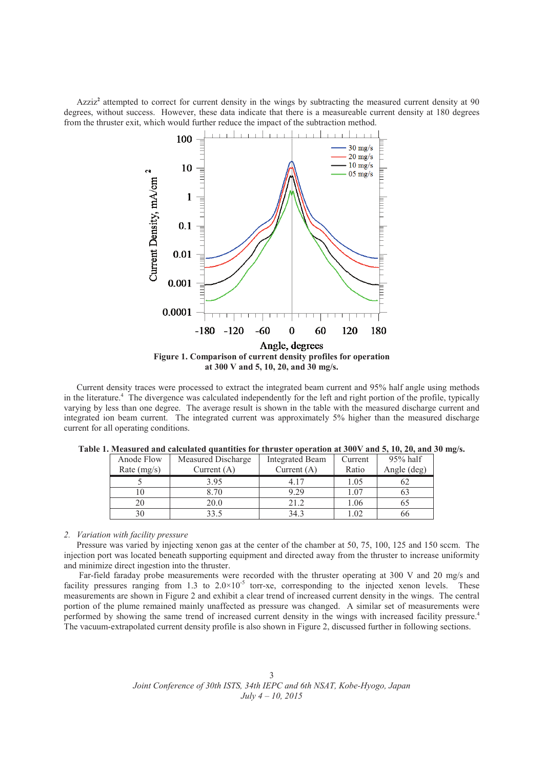Azziz**<sup>2</sup>** attempted to correct for current density in the wings by subtracting the measured current density at 90 degrees, without success. However, these data indicate that there is a measureable current density at 180 degrees from the thruster exit, which would further reduce the impact of the subtraction method.



Current density traces were processed to extract the integrated beam current and 95% half angle using methods in the literature.<sup>4</sup> The divergence was calculated independently for the left and right portion of the profile, typically varying by less than one degree. The average result is shown in the table with the measured discharge current and integrated ion beam current. The integrated current was approximately 5% higher than the measured discharge current for all operating conditions.

| Anode Flow    | Measured Discharge | <b>Integrated Beam</b> | Current | $95%$ half  |
|---------------|--------------------|------------------------|---------|-------------|
| Rate $(mg/s)$ | Current $(A)$      | Current $(A)$          | Ratio   | Angle (deg) |
|               | 3.95               | 4 17                   | 1.05    |             |
|               | 3.70               | 9.29                   | 1.07    |             |
| 20            | 20.0               | 21.2                   | 1.06    |             |
|               | 33 <sub>5</sub>    |                        |         | nn          |

**Table 1. Measured and calculated quantities for thruster operation at 300V and 5, 10, 20, and 30 mg/s.**

# *2. Variation with facility pressure*

Pressure was varied by injecting xenon gas at the center of the chamber at 50, 75, 100, 125 and 150 sccm. The injection port was located beneath supporting equipment and directed away from the thruster to increase uniformity and minimize direct ingestion into the thruster.

Far-field faraday probe measurements were recorded with the thruster operating at 300 V and 20 mg/s and facility pressures ranging from 1.3 to  $2.0 \times 10^{-5}$  torr-xe, corresponding to the injected xenon levels. These measurements are shown in Figure 2 and exhibit a clear trend of increased current density in the wings. The central portion of the plume remained mainly unaffected as pressure was changed. A similar set of measurements were performed by showing the same trend of increased current density in the wings with increased facility pressure.<sup>4</sup> The vacuum-extrapolated current density profile is also shown in Figure 2, discussed further in following sections.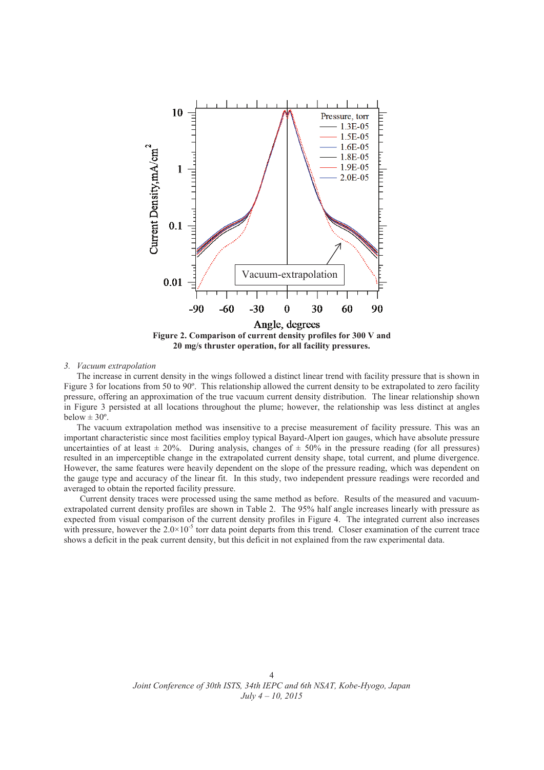

#### *3. Vacuum extrapolation*

The increase in current density in the wings followed a distinct linear trend with facility pressure that is shown in Figure 3 for locations from 50 to 90°. This relationship allowed the current density to be extrapolated to zero facility pressure, offering an approximation of the true vacuum current density distribution. The linear relationship shown in Figure 3 persisted at all locations throughout the plume; however, the relationship was less distinct at angles below  $\pm 30^{\circ}$ .

The vacuum extrapolation method was insensitive to a precise measurement of facility pressure. This was an important characteristic since most facilities employ typical Bayard-Alpert ion gauges, which have absolute pressure uncertainties of at least  $\pm 20\%$ . During analysis, changes of  $\pm 50\%$  in the pressure reading (for all pressures) resulted in an imperceptible change in the extrapolated current density shape, total current, and plume divergence. However, the same features were heavily dependent on the slope of the pressure reading, which was dependent on the gauge type and accuracy of the linear fit. In this study, two independent pressure readings were recorded and averaged to obtain the reported facility pressure.

Current density traces were processed using the same method as before. Results of the measured and vacuumextrapolated current density profiles are shown in Table 2. The 95% half angle increases linearly with pressure as expected from visual comparison of the current density profiles in Figure 4. The integrated current also increases with pressure, however the  $2.0\times10^{-5}$  torr data point departs from this trend. Closer examination of the current trace shows a deficit in the peak current density, but this deficit in not explained from the raw experimental data.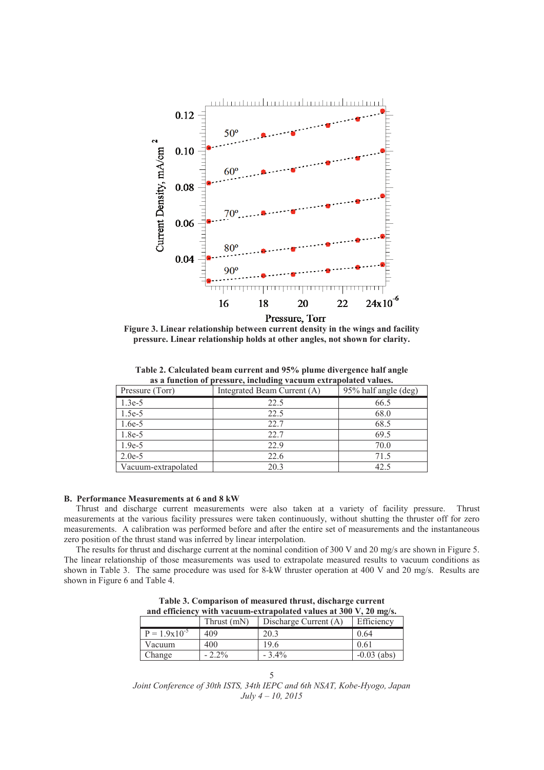

**Figure 3. Linear relationship between current density in the wings and facility pressure. Linear relationship holds at other angles, not shown for clarity.**

| Pressure (Torr)     | Integrated Beam Current (A) | 95% half angle (deg) |
|---------------------|-----------------------------|----------------------|
| $1.3e-5$            | 22.5                        | 66.5                 |
| $1.5e-5$            | 22.5                        | 68.0                 |
| $1.6e-5$            | 22.7                        | 68.5                 |
| 1.8e-5              | 22.7                        | 69.5                 |
| $1.9e-5$            | 22.9                        | 70.0                 |
| $2.0e-5$            | 22.6                        | 71.5                 |
| Vacuum-extrapolated | 20.3                        | 42.5                 |

**Table 2. Calculated beam current and 95% plume divergence half angle as a function of pressure, including vacuum extrapolated values.**

# **B. Performance Measurements at 6 and 8 kW**

Thrust and discharge current measurements were also taken at a variety of facility pressure. Thrust measurements at the various facility pressures were taken continuously, without shutting the thruster off for zero measurements. A calibration was performed before and after the entire set of measurements and the instantaneous zero position of the thrust stand was inferred by linear interpolation.

The results for thrust and discharge current at the nominal condition of 300 V and 20 mg/s are shown in Figure 5. The linear relationship of those measurements was used to extrapolate measured results to vacuum conditions as shown in Table 3. The same procedure was used for 8-kW thruster operation at 400 V and 20 mg/s. Results are shown in Figure 6 and Table 4.

**Table 3. Comparison of measured thrust, discharge current and efficiency with vacuum-extrapolated values at 300 V, 20 mg/s.**

|                   | Thrust (mN) | Discharge Current (A) | Efficiency    |
|-------------------|-------------|-----------------------|---------------|
| $P = 1.9x10^{-5}$ | 409         | 20.3                  | 0.64          |
| Vacuum            | 400         | 19.6                  | 0.61          |
| Change            | $-2.2%$     | $-3.4\%$              | $-0.03$ (abs) |

5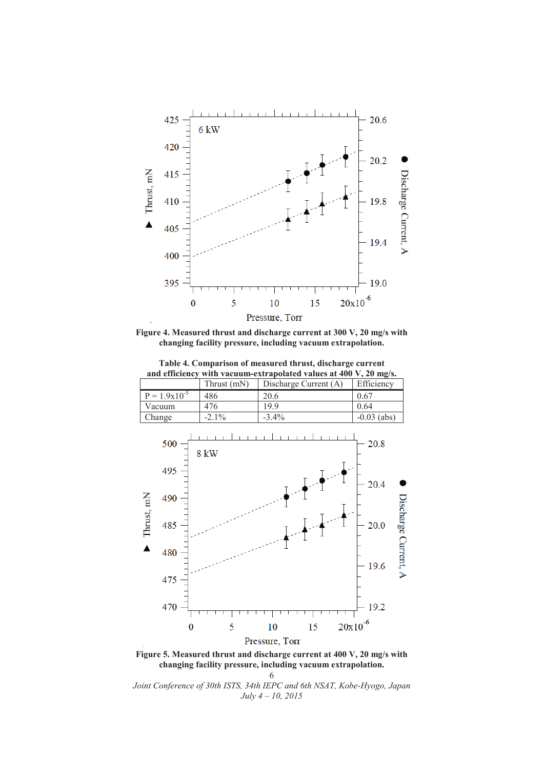

**Figure 4. Measured thrust and discharge current at 300 V, 20 mg/s with changing facility pressure, including vacuum extrapolation.**



**Table 4. Comparison of measured thrust, discharge current** 



**Figure 5. Measured thrust and discharge current at 400 V, 20 mg/s with changing facility pressure, including vacuum extrapolation.**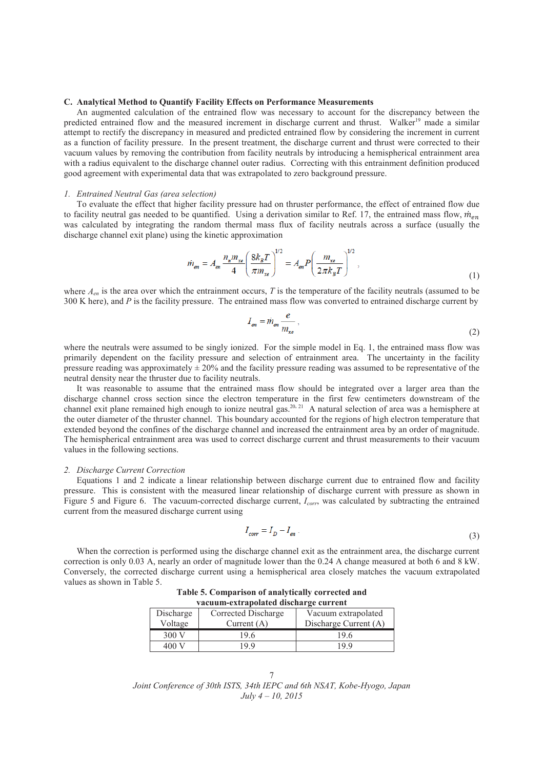#### **C. Analytical Method to Quantify Facility Effects on Performance Measurements**

An augmented calculation of the entrained flow was necessary to account for the discrepancy between the predicted entrained flow and the measured increment in discharge current and thrust. Walker<sup>19</sup> made a similar attempt to rectify the discrepancy in measured and predicted entrained flow by considering the increment in current as a function of facility pressure. In the present treatment, the discharge current and thrust were corrected to their vacuum values by removing the contribution from facility neutrals by introducing a hemispherical entrainment area with a radius equivalent to the discharge channel outer radius. Correcting with this entrainment definition produced good agreement with experimental data that was extrapolated to zero background pressure.

## *1. Entrained Neutral Gas (area selection)*

To evaluate the effect that higher facility pressure had on thruster performance, the effect of entrained flow due to facility neutral gas needed to be quantified. Using a derivation similar to Ref. 17, the entrained mass flow,  $\dot{m}_{en}$ was calculated by integrating the random thermal mass flux of facility neutrals across a surface (usually the discharge channel exit plane) using the kinetic approximation

$$
\dot{m}_{en} = A_{en} \frac{n_n m_{xe}}{4} \left( \frac{8k_B T}{\pi m_{xe}} \right)^{1/2} = A_{en} P \left( \frac{m_{xe}}{2\pi k_B T} \right)^{1/2},\tag{1}
$$

where  $A_{en}$  is the area over which the entrainment occurs, *T* is the temperature of the facility neutrals (assumed to be 300 K here), and *P* is the facility pressure. The entrained mass flow was converted to entrained discharge current by

$$
I_{en} = \dot{m}_{en} \frac{e}{m_{xe}},\tag{2}
$$

where the neutrals were assumed to be singly ionized. For the simple model in Eq. 1, the entrained mass flow was primarily dependent on the facility pressure and selection of entrainment area. The uncertainty in the facility pressure reading was approximately  $\pm 20\%$  and the facility pressure reading was assumed to be representative of the neutral density near the thruster due to facility neutrals.

It was reasonable to assume that the entrained mass flow should be integrated over a larger area than the discharge channel cross section since the electron temperature in the first few centimeters downstream of the channel exit plane remained high enough to ionize neutral gas.<sup>20, 21</sup> A natural selection of area was a hemisphere at the outer diameter of the thruster channel. This boundary accounted for the regions of high electron temperature that extended beyond the confines of the discharge channel and increased the entrainment area by an order of magnitude. The hemispherical entrainment area was used to correct discharge current and thrust measurements to their vacuum values in the following sections.

#### *2. Discharge Current Correction*

Equations 1 and 2 indicate a linear relationship between discharge current due to entrained flow and facility pressure. This is consistent with the measured linear relationship of discharge current with pressure as shown in Figure 5 and Figure 6. The vacuum-corrected discharge current, *Icorr*, was calculated by subtracting the entrained current from the measured discharge current using

$$
I_{corr} = I_D - I_{en} \tag{3}
$$

When the correction is performed using the discharge channel exit as the entrainment area, the discharge current correction is only 0.03 A, nearly an order of magnitude lower than the 0.24 A change measured at both 6 and 8 kW. Conversely, the corrected discharge current using a hemispherical area closely matches the vacuum extrapolated values as shown in Table 5.

| Table 5. Comparison of analytically corrected and |
|---------------------------------------------------|
| vacuum-extrapolated discharge current             |

| Discharge<br>Voltage | Corrected Discharge<br>Current $(A)$ | Vacuum extrapolated<br>Discharge Current (A) |
|----------------------|--------------------------------------|----------------------------------------------|
| 300 V                | 19.6                                 | 19.6                                         |
| 400                  | 199                                  | 199                                          |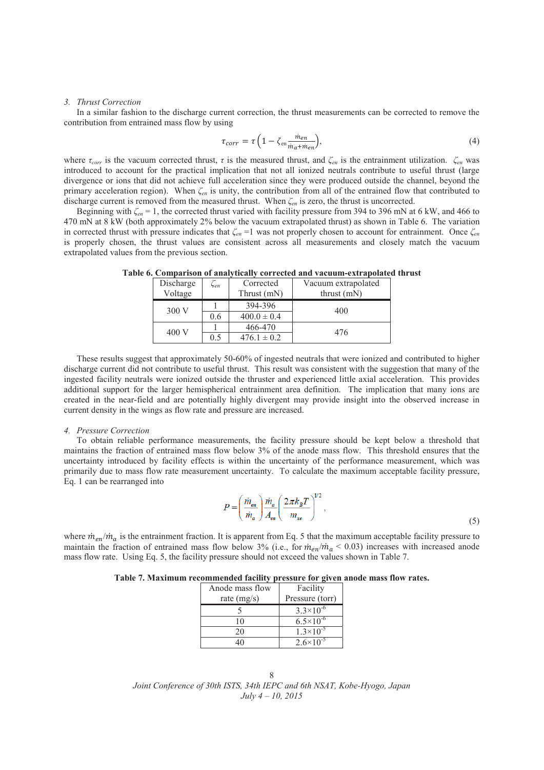#### *3. Thrust Correction*

In a similar fashion to the discharge current correction, the thrust measurements can be corrected to remove the contribution from entrained mass flow by using

$$
\tau_{corr} = \tau \left( 1 - \zeta_{en} \frac{\dot{m}_{en}}{\dot{m}_a + \dot{m}_{en}} \right),\tag{4}
$$

where  $\tau_{corr}$  is the vacuum corrected thrust,  $\tau$  is the measured thrust, and  $\zeta_{en}$  is the entrainment utilization.  $\zeta_{en}$  was introduced to account for the practical implication that not all ionized neutrals contribute to useful thrust (large divergence or ions that did not achieve full acceleration since they were produced outside the channel, beyond the primary acceleration region). When *ȗen* is unity, the contribution from all of the entrained flow that contributed to discharge current is removed from the measured thrust. When  $\zeta_{en}$  is zero, the thrust is uncorrected.

Beginning with  $\zeta_{en} = 1$ , the corrected thrust varied with facility pressure from 394 to 396 mN at 6 kW, and 466 to 470 mN at 8 kW (both approximately 2% below the vacuum extrapolated thrust) as shown in Table 6. The variation in corrected thrust with pressure indicates that  $\zeta_{en} = 1$  was not properly chosen to account for entrainment. Once  $\zeta_{en}$ is properly chosen, the thrust values are consistent across all measurements and closely match the vacuum extrapolated values from the previous section.

| Discharge<br>Voltage | Sen | Corrected<br>Thrust (mN) | Vacuum extrapolated<br>thrust $(mN)$ |
|----------------------|-----|--------------------------|--------------------------------------|
| 300 V                |     | 394-396                  | 400                                  |
|                      | 0.6 | $400.0 \pm 0.4$          |                                      |
| 400 V                |     | 466-470                  | 476                                  |
|                      | 0.5 | $476.1 \pm 0.2$          |                                      |

**Table 6. Comparison of analytically corrected and vacuum-extrapolated thrust**

These results suggest that approximately 50-60% of ingested neutrals that were ionized and contributed to higher discharge current did not contribute to useful thrust. This result was consistent with the suggestion that many of the ingested facility neutrals were ionized outside the thruster and experienced little axial acceleration. This provides additional support for the larger hemispherical entrainment area definition. The implication that many ions are created in the near-field and are potentially highly divergent may provide insight into the observed increase in current density in the wings as flow rate and pressure are increased.

#### *4. Pressure Correction*

To obtain reliable performance measurements, the facility pressure should be kept below a threshold that maintains the fraction of entrained mass flow below 3% of the anode mass flow. This threshold ensures that the uncertainty introduced by facility effects is within the uncertainty of the performance measurement, which was primarily due to mass flow rate measurement uncertainty. To calculate the maximum acceptable facility pressure, Eq. 1 can be rearranged into

$$
P = \left(\frac{\dot{m}_{\text{en}}}{\dot{m}_a}\right) \frac{\dot{m}_a}{A_{\text{en}}} \left(\frac{2\pi k_B T}{m_{\text{xe}}}\right)^{1/2},\tag{5}
$$

where  $\dot{m}_{en}/\dot{m}_q$  is the entrainment fraction. It is apparent from Eq. 5 that the maximum acceptable facility pressure to maintain the fraction of entrained mass flow below 3% (i.e., for  $\dot{m}_{en}/\dot{m}_a$  < 0.03) increases with increased anode mass flow rate. Using Eq. 5, the facility pressure should not exceed the values shown in Table 7.

| Table 7. Maximum recommended facility pressure for given anode mass flow rates. |  |  |  |  |
|---------------------------------------------------------------------------------|--|--|--|--|
|---------------------------------------------------------------------------------|--|--|--|--|

| Anode mass flow | Facility             |
|-----------------|----------------------|
| rate $(mg/s)$   | Pressure (torr)      |
|                 | $3.3 \times 10^{-6}$ |
| 10              | $6.5 \times 10^{-6}$ |
| 20              | $1.3 \times 10^{-5}$ |
|                 | $2.6 \times 10^{-5}$ |

*Joint Conference of 30th ISTS, 34th IEPC and 6th NSAT, Kobe-Hyogo, Japan July 4 – 10, 2015* 8